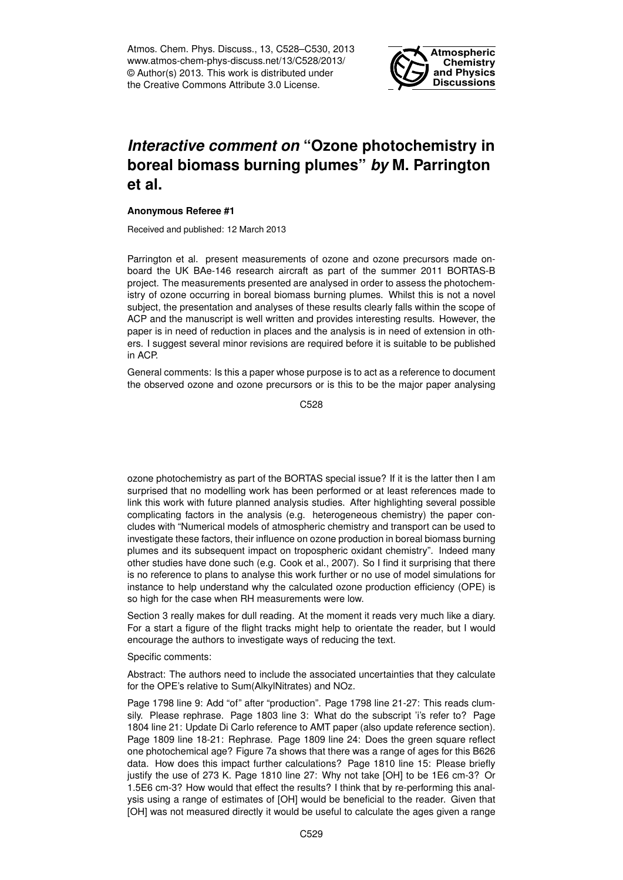Atmos. Chem. Phys. Discuss., 13, C528–C530, 2013 www.atmos-chem-phys-discuss.net/13/C528/2013/ © Author(s) 2013. This work is distributed under the Creative Commons Attribute 3.0 License.



## *Interactive comment on* **"Ozone photochemistry in boreal biomass burning plumes"** *by* **M. Parrington et al.**

## **Anonymous Referee #1**

Received and published: 12 March 2013

Parrington et al. present measurements of ozone and ozone precursors made onboard the UK BAe-146 research aircraft as part of the summer 2011 BORTAS-B project. The measurements presented are analysed in order to assess the photochemistry of ozone occurring in boreal biomass burning plumes. Whilst this is not a novel subject, the presentation and analyses of these results clearly falls within the scope of ACP and the manuscript is well written and provides interesting results. However, the paper is in need of reduction in places and the analysis is in need of extension in others. I suggest several minor revisions are required before it is suitable to be published in ACP.

General comments: Is this a paper whose purpose is to act as a reference to document the observed ozone and ozone precursors or is this to be the major paper analysing

C528

ozone photochemistry as part of the BORTAS special issue? If it is the latter then I am surprised that no modelling work has been performed or at least references made to link this work with future planned analysis studies. After highlighting several possible complicating factors in the analysis (e.g. heterogeneous chemistry) the paper concludes with "Numerical models of atmospheric chemistry and transport can be used to investigate these factors, their influence on ozone production in boreal biomass burning plumes and its subsequent impact on tropospheric oxidant chemistry". Indeed many other studies have done such (e.g. Cook et al., 2007). So I find it surprising that there is no reference to plans to analyse this work further or no use of model simulations for instance to help understand why the calculated ozone production efficiency (OPE) is so high for the case when RH measurements were low.

Section 3 really makes for dull reading. At the moment it reads very much like a diary. For a start a figure of the flight tracks might help to orientate the reader, but I would encourage the authors to investigate ways of reducing the text.

Specific comments:

Abstract: The authors need to include the associated uncertainties that they calculate for the OPE's relative to Sum(AlkylNitrates) and NOz.

Page 1798 line 9: Add "of" after "production". Page 1798 line 21-27: This reads clumsily. Please rephrase. Page 1803 line 3: What do the subscript 'i's refer to? Page 1804 line 21: Update Di Carlo reference to AMT paper (also update reference section). Page 1809 line 18-21: Rephrase. Page 1809 line 24: Does the green square reflect one photochemical age? Figure 7a shows that there was a range of ages for this B626 data. How does this impact further calculations? Page 1810 line 15: Please briefly justify the use of 273 K. Page 1810 line 27: Why not take [OH] to be 1E6 cm-3? Or 1.5E6 cm-3? How would that effect the results? I think that by re-performing this analysis using a range of estimates of [OH] would be beneficial to the reader. Given that [OH] was not measured directly it would be useful to calculate the ages given a range